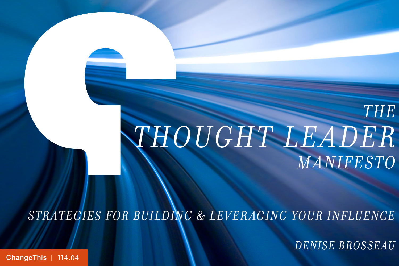# *THOUGHT LEADER MANIFESTO*

*STRATEGIES FOR BUILDING & LEVERAGING YOUR INFLUENCE*

*DENISE BROSSEAU* 

*THE* 

[ChangeThis](http://changethis.com) | 114.04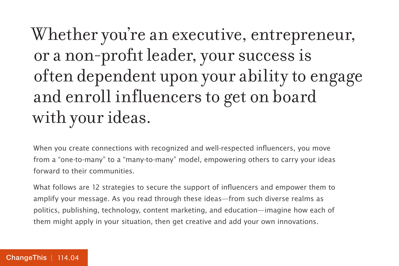## Whether you're an executive, entrepreneur, or a non-profit leader, your success is often dependent upon your ability to engage and enroll influencers to get on board with your ideas.

When you create connections with recognized and well-respected influencers, you move from a "one-to-many" to a "many-to-many" model, empowering others to carry your ideas forward to their communities.

What follows are 12 strategies to secure the support of influencers and empower them to amplify your message. As you read through these ideas—from such diverse realms as politics, publishing, technology, content marketing, and education—imagine how each of them might apply in your situation, then get creative and add your own innovations.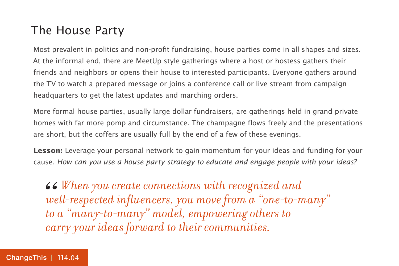#### The House Party

Most prevalent in politics and non-profit fundraising, house parties come in all shapes and sizes. At the informal end, there are MeetUp style gatherings where a host or hostess gathers their friends and neighbors or opens their house to interested participants. Everyone gathers around the TV to watch a prepared message or joins a conference call or live stream from campaign headquarters to get the latest updates and marching orders.

More formal house parties, usually large dollar fundraisers, are gatherings held in grand private homes with far more pomp and circumstance. The champagne flows freely and the presentations are short, but the coffers are usually full by the end of a few of these evenings.

**Lesson:** Leverage your personal network to gain momentum for your ideas and funding for your cause. How can you use a house party strategy to educate and engage people with your ideas?

*When you create connections with recognized and well-respected influencers, you move from a "one-to-many" to a "many-to-many" model, empowering others to carry your ideas forward to their communities.*  66<br> *we*<br> *to*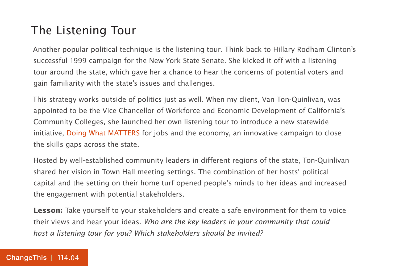### The Listening Tour

Another popular political technique is the listening tour. Think back to Hillary Rodham Clinton's successful 1999 campaign for the New York State Senate. She kicked it off with a listening tour around the state, which gave her a chance to hear the concerns of potential voters and gain familiarity with the state's issues and challenges.

This strategy works outside of politics just as well. When my client, Van Ton-Quinlivan, was appointed to be the Vice Chancellor of Workforce and Economic Development of California's Community Colleges, she launched her own listening tour to introduce a new statewide initiative, [Doing What MATTERS](http://doingwhatmatters.cccco.edu/Overview.aspx) for jobs and the economy, an innovative campaign to close the skills gaps across the state.

Hosted by well-established community leaders in different regions of the state, Ton-Quinlivan shared her vision in Town Hall meeting settings. The combination of her hosts' political capital and the setting on their home turf opened people's minds to her ideas and increased the engagement with potential stakeholders.

**Lesson:** Take yourself to your stakeholders and create a safe environment for them to voice their views and hear your ideas. Who are the key leaders in your community that could host a listening tour for you? Which stakeholders should be invited?

#### [ChangeThis](http://changethis.com) | 114.04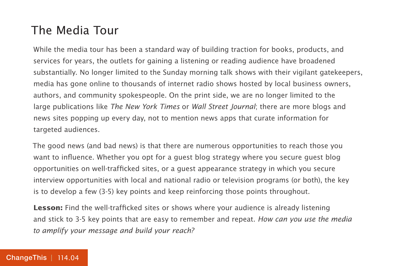#### The Media Tour

While the media tour has been a standard way of building traction for books, products, and services for years, the outlets for gaining a listening or reading audience have broadened substantially. No longer limited to the Sunday morning talk shows with their vigilant gatekeepers, media has gone online to thousands of internet radio shows hosted by local business owners, authors, and community spokespeople. On the print side, we are no longer limited to the large publications like The New York Times or Wall Street Journal; there are more blogs and news sites popping up every day, not to mention news apps that curate information for targeted audiences.

The good news (and bad news) is that there are numerous opportunities to reach those you want to influence. Whether you opt for a guest blog strategy where you secure guest blog opportunities on well-trafficked sites, or a guest appearance strategy in which you secure interview opportunities with local and national radio or television programs (or both), the key is to develop a few (3-5) key points and keep reinforcing those points throughout.

**Lesson:** Find the well-trafficked sites or shows where your audience is already listening and stick to 3-5 key points that are easy to remember and repeat. How can you use the media to amplify your message and build your reach?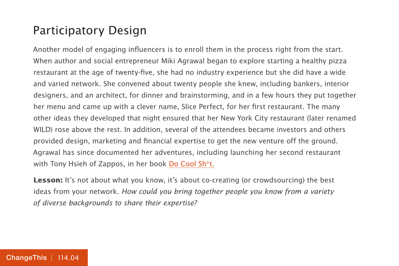#### Participatory Design

Another model of engaging influencers is to enroll them in the process right from the start. When author and social entrepreneur Miki Agrawal began to explore starting a healthy pizza restaurant at the age of twenty-five, she had no industry experience but she did have a wide and varied network. She convened about twenty people she knew, including bankers, interior designers, and an architect, for dinner and brainstorming, and in a few hours they put together her menu and came up with a clever name, Slice Perfect, for her first restaurant. The many other ideas they developed that night ensured that her New York City restaurant (later renamed WILD) rose above the rest. In addition, several of the attendees became investors and others provided design, marketing and financial expertise to get the new venture off the ground. Agrawal has since documented her adventures, including launching her second restaurant with Tony Hsieh of Zappos, in her book [Do Cool Sh\\*t.](http://www.docoolshit.org/)

**Lesson:** It's not about what you know, it's about co-creating (or crowdsourcing) the best ideas from your network. How could you bring together people you know from a variety of diverse backgrounds to share their expertise?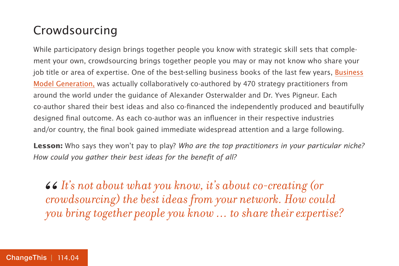#### Crowdsourcing

While participatory design brings together people you know with strategic skill sets that complement your own, crowdsourcing brings together people you may or may not know who share your job title or area of expertise. One of the best-selling business books of the last few years, [Business](http://www.businessmodelgeneration.com/book) [Model Generation,](http://www.businessmodelgeneration.com/book) was actually collaboratively co-authored by 470 strategy practitioners from around the world under the guidance of Alexander Osterwalder and Dr. Yves Pigneur. Each co-author shared their best ideas and also co-financed the independently produced and beautifully designed final outcome. As each co-author was an influencer in their respective industries and/or country, the final book gained immediate widespread attention and a large following.

**Lesson:** Who says they won't pay to play? Who are the top practitioners in your particular niche? How could you gather their best ideas for the benefit of all?

**46** It's not about what you know, it's about co-creating (or crowdsourcing) the best ideas from your network. How cou you bring together people you know ... to share their expert *crowdsourcing) the best ideas from your network. How could you bring together people you know … to share their expertise?*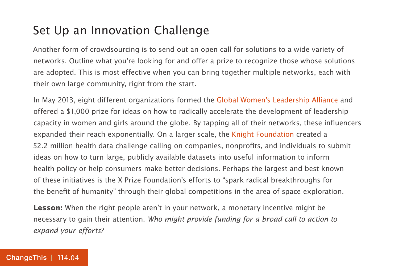### Set Up an Innovation Challenge

Another form of crowdsourcing is to send out an open call for solutions to a wide variety of networks. Outline what you're looking for and offer a prize to recognize those whose solutions are adopted. This is most effective when you can bring together multiple networks, each with their own large community, right from the start.

In May 2013, eight different organizations formed the [Global Women's Leadership Alliance](https://www.innocentive.com/ar/challenge/10300000035) and offered a \$1,000 prize for ideas on how to radically accelerate the development of leadership capacity in women and girls around the globe. By tapping all of their networks, these influencers expanded their reach exponentially. On a larger scale, the [Knight Foundation](http://www.knightfoundation.org/press-room/press-release/knight-news-challenge-health-winners-announcement/) created a \$2.2 million health data challenge calling on companies, nonprofits, and individuals to submit ideas on how to turn large, publicly available datasets into useful information to inform health policy or help consumers make better decisions. Perhaps the largest and best known of these initiatives is the X Prize Foundation's efforts to "spark radical breakthroughs for the benefit of humanity" through their global competitions in the area of space exploration.

**Lesson:** When the right people aren't in your network, a monetary incentive might be necessary to gain their attention. Who might provide funding for a broad call to action to expand your efforts?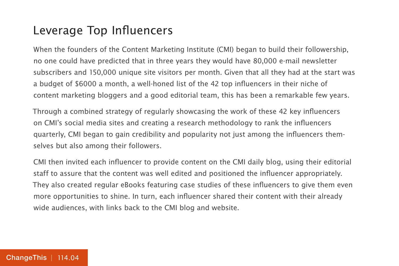#### Leverage Top Influencers

When the founders of the Content Marketing Institute (CMI) began to build their followership, no one could have predicted that in three years they would have 80,000 e-mail newsletter subscribers and 150,000 unique site visitors per month. Given that all they had at the start was a budget of \$6000 a month, a well-honed list of the 42 top influencers in their niche of content marketing bloggers and a good editorial team, this has been a remarkable few years.

Through a combined strategy of regularly showcasing the work of these 42 key influencers on CMI's social media sites and creating a research methodology to rank the influencers quarterly, CMI began to gain credibility and popularity not just among the influencers themselves but also among their followers.

CMI then invited each influencer to provide content on the CMI daily blog, using their editorial staff to assure that the content was well edited and positioned the influencer appropriately. They also created regular eBooks featuring case studies of these influencers to give them even more opportunities to shine. In turn, each influencer shared their content with their already wide audiences, with links back to the CMI blog and website.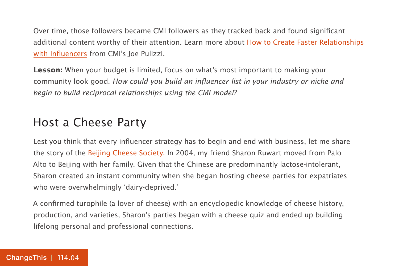Over time, those followers became CMI followers as they tracked back and found significant additional content worthy of their attention. Learn more about How to Create Faster Relationships with Influencers from CMI's Joe Pulizzi.

**Lesson:** When your budget is limited, focus on what's most important to making your community look good. How could you build an influencer list in your industry or niche and begin to build reciprocal relationships using the CMI model?

#### Host a Cheese Party

Lest you think that every influencer strategy has to begin and end with business, let me share the story of the [Beijing Cheese Society.](https://www.facebook.com/BeijingCheeseSociety) In 2004, my friend Sharon Ruwart moved from Palo Alto to Beijing with her family. Given that the Chinese are predominantly lactose-intolerant, Sharon created an instant community when she began hosting cheese parties for expatriates who were overwhelmingly 'dairy-deprived.'

A confirmed turophile (a lover of cheese) with an encyclopedic knowledge of cheese history, production, and varieties, Sharon's parties began with a cheese quiz and ended up building lifelong personal and professional connections.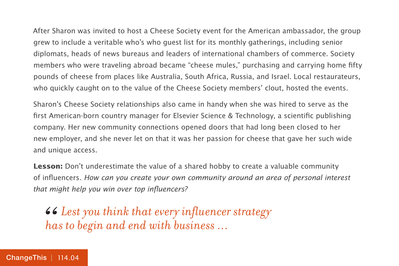After Sharon was invited to host a Cheese Society event for the American ambassador, the group grew to include a veritable who's who guest list for its monthly gatherings, including senior diplomats, heads of news bureaus and leaders of international chambers of commerce. Society members who were traveling abroad became "cheese mules," purchasing and carrying home fifty pounds of cheese from places like Australia, South Africa, Russia, and Israel. Local restaurateurs, who quickly caught on to the value of the Cheese Society members' clout, hosted the events.

Sharon's Cheese Society relationships also came in handy when she was hired to serve as the first American-born country manager for Elsevier Science & Technology, a scientific publishing company. Her new community connections opened doors that had long been closed to her new employer, and she never let on that it was her passion for cheese that gave her such wide and unique access.

**Lesson:** Don't underestimate the value of a shared hobby to create a valuable community of influencers. How can you create your own community around an area of personal interest that might help you win over top influencers?

*Lest you think that every influencer strategy*  66<br>ha *has to begin and end with business …*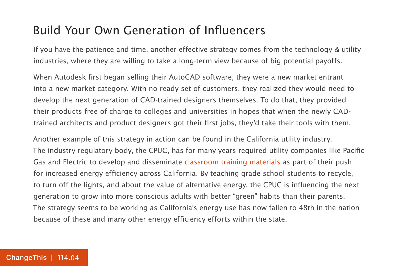#### Build Your Own Generation of Influencers

If you have the patience and time, another effective strategy comes from the technology & utility industries, where they are willing to take a long-term view because of big potential payoffs.

When Autodesk first began selling their AutoCAD software, they were a new market entrant into a new market category. With no ready set of customers, they realized they would need to develop the next generation of CAD-trained designers themselves. To do that, they provided their products free of charge to colleges and universities in hopes that when the newly CADtrained architects and product designers got their first jobs, they'd take their tools with them.

Another example of this strategy in action can be found in the California utility industry. The industry regulatory body, the CPUC, has for many years required utility companies like Pacific Gas and Electric to develop and disseminate [classroom training materials](http://www.pge.com/energenius/) as part of their push for increased energy efficiency across California. By teaching grade school students to recycle, to turn off the lights, and about the value of alternative energy, the CPUC is influencing the next generation to grow into more conscious adults with better "green" habits than their parents. The strategy seems to be working as California's energy use has now fallen to 48th in the nation because of these and many other energy efficiency efforts within the state.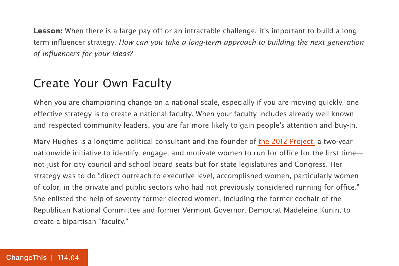**Lesson:** When there is a large pay-off or an intractable challenge, it's important to build a longterm influencer strategy. How can you take a long-term approach to building the next generation of influencers for your ideas?

#### Create Your Own Faculty

When you are championing change on a national scale, especially if you are moving quickly, one effective strategy is to create a national faculty. When your faculty includes already well known and respected community leaders, you are far more likely to gain people's attention and buy-in.

Mary Hughes is a longtime political consultant and the founder of [the 2012 Project,](http://www.cawp.rutgers.edu/education_training/2012Project/about2012.php) a two-year nationwide initiative to identify, engage, and motivate women to run for office for the first time not just for city council and school board seats but for state legislatures and Congress. Her strategy was to do "direct outreach to executive-level, accomplished women, particularly women of color, in the private and public sectors who had not previously considered running for office." She enlisted the help of seventy former elected women, including the former cochair of the Republican National Committee and former Vermont Governor, Democrat Madeleine Kunin, to create a bipartisan "faculty."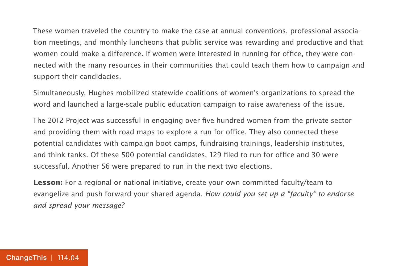These women traveled the country to make the case at annual conventions, professional association meetings, and monthly luncheons that public service was rewarding and productive and that women could make a difference. If women were interested in running for office, they were connected with the many resources in their communities that could teach them how to campaign and support their candidacies.

Simultaneously, Hughes mobilized statewide coalitions of women's organizations to spread the word and launched a large-scale public education campaign to raise awareness of the issue.

The 2012 Project was successful in engaging over five hundred women from the private sector and providing them with road maps to explore a run for office. They also connected these potential candidates with campaign boot camps, fundraising trainings, leadership institutes, and think tanks. Of these 500 potential candidates, 129 filed to run for office and 30 were successful. Another 56 were prepared to run in the next two elections.

**Lesson:** For a regional or national initiative, create your own committed faculty/team to evangelize and push forward your shared agenda. How could you set up a "faculty" to endorse and spread your message?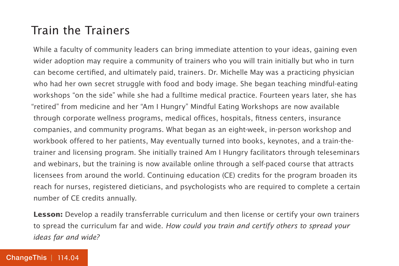#### Train the Trainers

While a faculty of community leaders can bring immediate attention to your ideas, gaining even wider adoption may require a community of trainers who you will train initially but who in turn can become certified, and ultimately paid, trainers. Dr. Michelle May was a practicing physician who had her own secret struggle with food and body image. She began teaching mindful-eating workshops "on the side" while she had a fulltime medical practice. Fourteen years later, she has "retired" from medicine and her "Am I Hungry" Mindful Eating Workshops are now available through corporate wellness programs, medical offices, hospitals, fitness centers, insurance companies, and community programs. What began as an eight-week, in-person workshop and workbook offered to her patients, May eventually turned into books, keynotes, and a train-thetrainer and licensing program. She initially trained Am I Hungry facilitators through teleseminars and webinars, but the training is now available online through a self-paced course that attracts licensees from around the world. Continuing education (CE) credits for the program broaden its reach for nurses, registered dieticians, and psychologists who are required to complete a certain number of CE credits annually.

**Lesson:** Develop a readily transferrable curriculum and then license or certify your own trainers to spread the curriculum far and wide. How could you train and certify others to spread your ideas far and wide?

#### [ChangeThis](http://changethis.com) | 114.04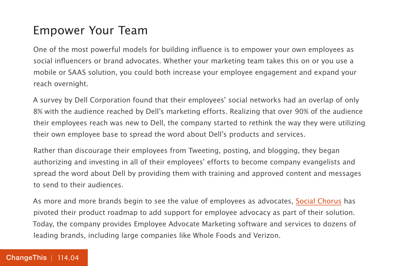#### Empower Your Team

One of the most powerful models for building influence is to empower your own employees as social influencers or brand advocates. Whether your marketing team takes this on or you use a mobile or SAAS solution, you could both increase your employee engagement and expand your reach overnight.

A survey by Dell Corporation found that their employees' social networks had an overlap of only 8% with the audience reached by Dell's marketing efforts. Realizing that over 90% of the audience their employees reach was new to Dell, the company started to rethink the way they were utilizing their own employee base to spread the word about Dell's products and services.

Rather than discourage their employees from Tweeting, posting, and blogging, they began authorizing and investing in all of their employees' efforts to become company evangelists and spread the word about Dell by providing them with training and approved content and messages to send to their audiences.

As more and more brands begin to see the value of employees as advocates, [Social Chorus](http://www.socialchorus.com/) has pivoted their product roadmap to add support for employee advocacy as part of their solution. Today, the company provides Employee Advocate Marketing software and services to dozens of leading brands, including large companies like Whole Foods and Verizon.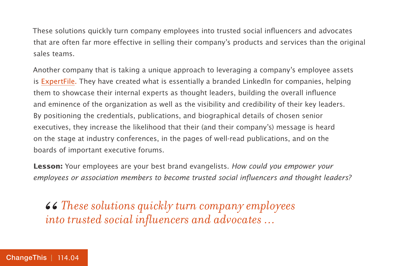These solutions quickly turn company employees into trusted social influencers and advocates that are often far more effective in selling their company's products and services than the original sales teams.

Another company that is taking a unique approach to leveraging a company's employee assets is [ExpertFile.](http://www.expertfile.com/) They have created what is essentially a branded LinkedIn for companies, helping them to showcase their internal experts as thought leaders, building the overall influence and eminence of the organization as well as the visibility and credibility of their key leaders. By positioning the credentials, publications, and biographical details of chosen senior executives, they increase the likelihood that their (and their company's) message is heard on the stage at industry conferences, in the pages of well-read publications, and on the boards of important executive forums.

**Lesson:** Your employees are your best brand evangelists. How could you empower your employees or association members to become trusted social influencers and thought leaders?

 $\bullet$   $\bullet$  These solutions quickly turn company employees into trusted social influencers and advocates  $\ldots$ *into trusted social influencers and advocates …*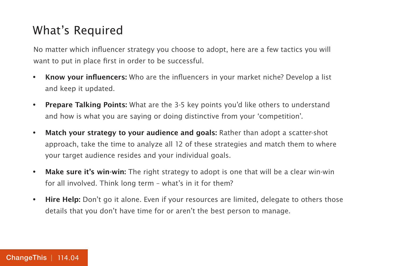### What's Required

No matter which influencer strategy you choose to adopt, here are a few tactics you will want to put in place first in order to be successful.

- **• Know your influencers:** Who are the influencers in your market niche? Develop a list and keep it updated.
- **• Prepare Talking Points:** What are the 3-5 key points you'd like others to understand and how is what you are saying or doing distinctive from your 'competition'.
- **• Match your strategy to your audience and goals:** Rather than adopt a scatter-shot approach, take the time to analyze all 12 of these strategies and match them to where your target audience resides and your individual goals.
- **• Make sure it's win-win:** The right strategy to adopt is one that will be a clear win-win for all involved. Think long term – what's in it for them?
- **• Hire Help:** Don't go it alone. Even if your resources are limited, delegate to others those details that you don't have time for or aren't the best person to manage.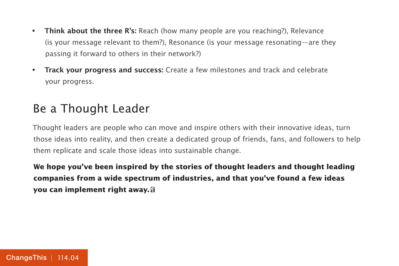- **• Think about the three R's:** Reach (how many people are you reaching?), Relevance (is your message relevant to them?), Resonance (is your message resonating—are they passing it forward to others in their network?)
- **• Track your progress and success:** Create a few milestones and track and celebrate your progress.

#### Be a Thought Leader

Thought leaders are people who can move and inspire others with their innovative ideas, turn those ideas into reality, and then create a dedicated group of friends, fans, and followers to help them replicate and scale those ideas into sustainable change.

**We hope you've been inspired by the stories of thought leaders and thought leading companies from a wide spectrum of industries, and that you've found a few ideas you can implement right away.**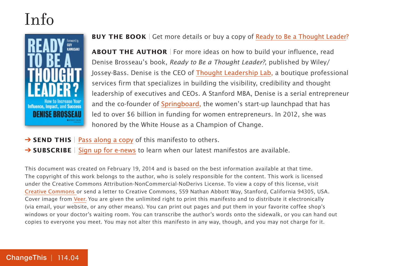### Info



**BUY THE BOOK** | Get more details or buy a copy of [Ready to Be a Thought Leader?](http://800ceoread.com/products/ready_to_be_a_thought_leader-denise_brosseau_guy_kawasaki-english?selected=12193)

**ABOUT THE AUTHOR** | For more ideas on how to build your influence, read Denise Brosseau's book, Ready to Be a Thought Leader?, published by Wiley/ Jossey-Bass. Denise is the CEO of [Thought Leadership Lab,](http://www.thoughtleadershiplab.com/) a boutique professional services firm that specializes in building the visibility, credibility and thought leadership of executives and CEOs. A Stanford MBA, Denise is a serial entrepreneur and the co-founder of [Springboard,](http://www.sb.co) the women's start-up launchpad that has led to over \$6 billion in funding for women entrepreneurs. In 2012, she was honored by the White House as a Champion of Change.

- **→ SEND THIS** | [Pass along a copy](http://www.changethis.com/114.04.ThoughtLeader/email) of this manifesto to others.
- **→ SUBSCRIBE** | Sign up fo[r e-news](http://changethis.com/page/show/e_mail_newsletter) to learn when our latest manifestos are available.

This document was created on February 19, 2014 and is based on the best information available at that time. The copyright of this work belongs to the author, who is solely responsible for the content. This work is licensed under the Creative Commons Attribution-NonCommercial-NoDerivs License. To view a copy of this license, visit [Creative Commons](http://creativecommons.org/licenses/by-nc-nd/2.0/) or send a letter to Creative Commons, 559 Nathan Abbott Way, Stanford, California 94305, USA. Cover image from [Veer.](http://www.veer.com/) You are given the unlimited right to print this manifesto and to distribute it electronically (via email, your website, or any other means). You can print out pages and put them in your favorite coffee shop's windows or your doctor's waiting room. You can transcribe the author's words onto the sidewalk, or you can hand out copies to everyone you meet. You may not alter this manifesto in any way, though, and you may not charge for it.